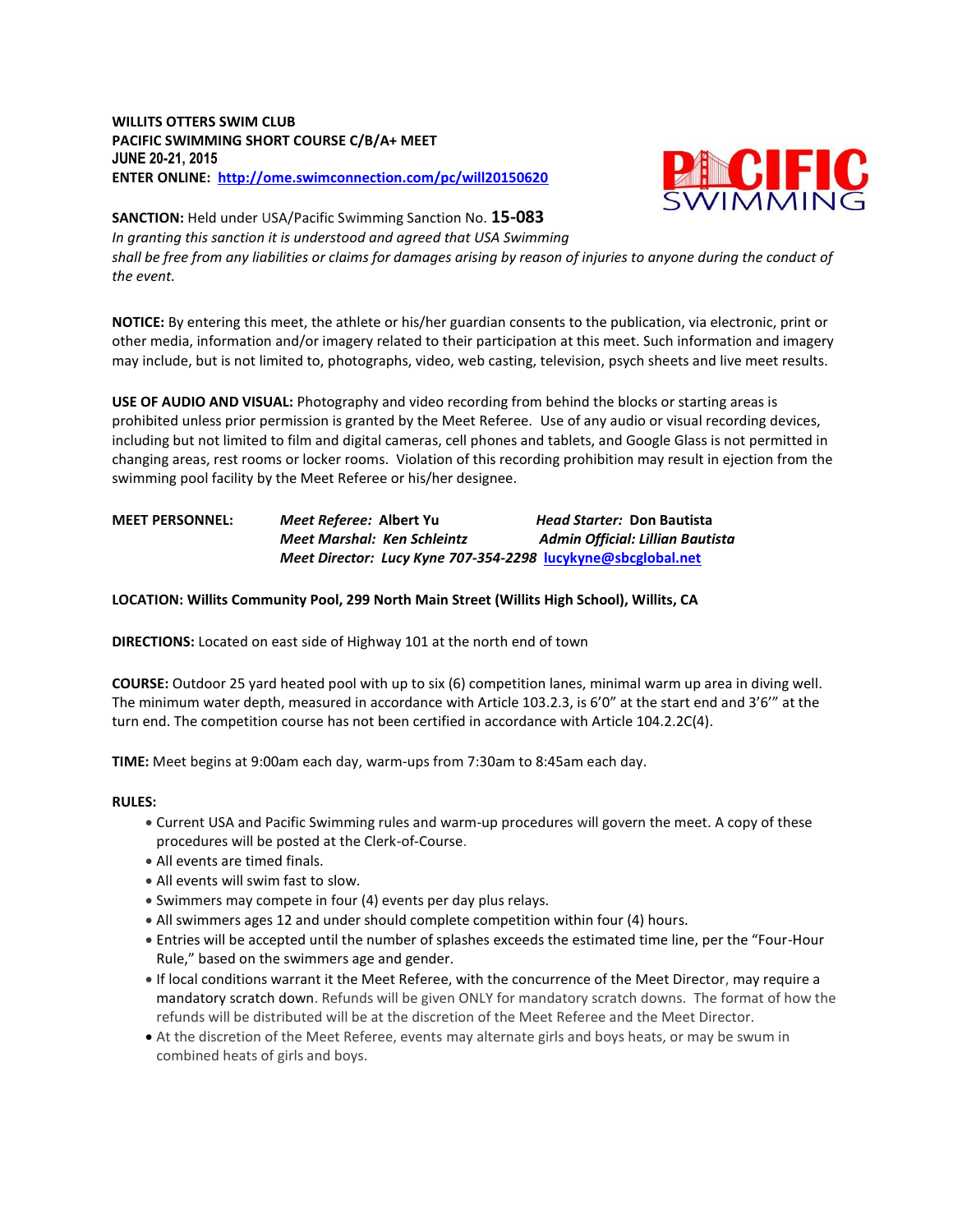### **WILLITS OTTERS SWIM CLUB PACIFIC SWIMMING SHORT COURSE C/B/A+ MEET JUNE 20-21, 2015 ENTER ONLINE: <http://ome.swimconnection.com/pc/will20150620>**



**SANCTION:** Held under USA/Pacific Swimming Sanction No. **15-083**

*In granting this sanction it is understood and agreed that USA Swimming* 

*shall be free from any liabilities or claims for damages arising by reason of injuries to anyone during the conduct of the event.*

**NOTICE:** By entering this meet, the athlete or his/her guardian consents to the publication, via electronic, print or other media, information and/or imagery related to their participation at this meet. Such information and imagery may include, but is not limited to, photographs, video, web casting, television, psych sheets and live meet results.

**USE OF AUDIO AND VISUAL:** Photography and video recording from behind the blocks or starting areas is prohibited unless prior permission is granted by the Meet Referee. Use of any audio or visual recording devices, including but not limited to film and digital cameras, cell phones and tablets, and Google Glass is not permitted in changing areas, rest rooms or locker rooms. Violation of this recording prohibition may result in ejection from the swimming pool facility by the Meet Referee or his/her designee.

# **MEET PERSONNEL:** *Meet Referee:* **Albert Yu** *Head Starter:* **Don Bautista** *Meet Marshal: Ken Schleintz**Admin Official: Lillian Bautista Meet Director: Lucy Kyne 707-354-2298* **[lucykyne@sbcglobal.net](mailto:lucykyne@sbcglobal.net)**

## **LOCATION: Willits Community Pool, 299 North Main Street (Willits High School), Willits, CA**

**DIRECTIONS:** Located on east side of Highway 101 at the north end of town

**COURSE:** Outdoor 25 yard heated pool with up to six (6) competition lanes, minimal warm up area in diving well. The minimum water depth, measured in accordance with Article 103.2.3, is 6'0" at the start end and 3'6'" at the turn end. The competition course has not been certified in accordance with Article 104.2.2C(4).

**TIME:** Meet begins at 9:00am each day, warm-ups from 7:30am to 8:45am each day.

#### **RULES:**

- Current USA and Pacific Swimming rules and warm-up procedures will govern the meet. A copy of these procedures will be posted at the Clerk-of-Course.
- All events are timed finals.
- All events will swim fast to slow.
- Swimmers may compete in four (4) events per day plus relays.
- All swimmers ages 12 and under should complete competition within four (4) hours.
- Entries will be accepted until the number of splashes exceeds the estimated time line, per the "Four-Hour Rule," based on the swimmers age and gender.
- If local conditions warrant it the Meet Referee, with the concurrence of the Meet Director, may require a mandatory scratch down. Refunds will be given ONLY for mandatory scratch downs. The format of how the refunds will be distributed will be at the discretion of the Meet Referee and the Meet Director.
- At the discretion of the Meet Referee, events may alternate girls and boys heats, or may be swum in combined heats of girls and boys.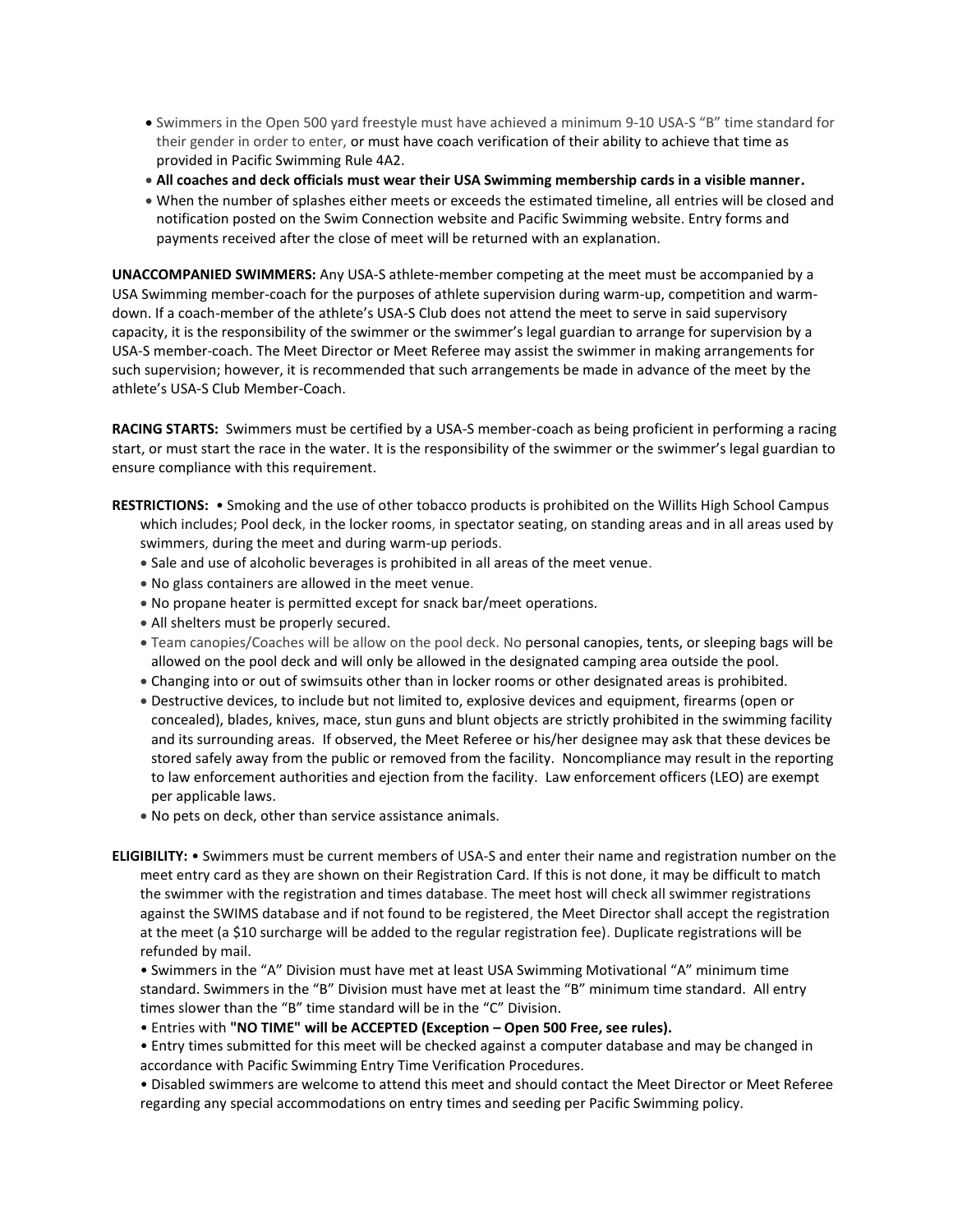- Swimmers in the Open 500 yard freestyle must have achieved a minimum 9-10 USA-S "B" time standard for their gender in order to enter, or must have coach verification of their ability to achieve that time as provided in Pacific Swimming Rule 4A2.
- **All coaches and deck officials must wear their USA Swimming membership cards in a visible manner.**
- When the number of splashes either meets or exceeds the estimated timeline, all entries will be closed and notification posted on the Swim Connection website and Pacific Swimming website. Entry forms and payments received after the close of meet will be returned with an explanation.

**UNACCOMPANIED SWIMMERS:** Any USA-S athlete-member competing at the meet must be accompanied by a USA Swimming member-coach for the purposes of athlete supervision during warm-up, competition and warmdown. If a coach-member of the athlete's USA-S Club does not attend the meet to serve in said supervisory capacity, it is the responsibility of the swimmer or the swimmer's legal guardian to arrange for supervision by a USA-S member-coach. The Meet Director or Meet Referee may assist the swimmer in making arrangements for such supervision; however, it is recommended that such arrangements be made in advance of the meet by the athlete's USA-S Club Member-Coach.

**RACING STARTS:** Swimmers must be certified by a USA-S member-coach as being proficient in performing a racing start, or must start the race in the water. It is the responsibility of the swimmer or the swimmer's legal guardian to ensure compliance with this requirement.

- **RESTRICTIONS:** Smoking and the use of other tobacco products is prohibited on the Willits High School Campus which includes; Pool deck, in the locker rooms, in spectator seating, on standing areas and in all areas used by swimmers, during the meet and during warm-up periods.
	- Sale and use of alcoholic beverages is prohibited in all areas of the meet venue.
	- No glass containers are allowed in the meet venue.
	- No propane heater is permitted except for snack bar/meet operations.
	- All shelters must be properly secured.
	- Team canopies/Coaches will be allow on the pool deck. No personal canopies, tents, or sleeping bags will be allowed on the pool deck and will only be allowed in the designated camping area outside the pool.
	- Changing into or out of swimsuits other than in locker rooms or other designated areas is prohibited.
	- Destructive devices, to include but not limited to, explosive devices and equipment, firearms (open or concealed), blades, knives, mace, stun guns and blunt objects are strictly prohibited in the swimming facility and its surrounding areas. If observed, the Meet Referee or his/her designee may ask that these devices be stored safely away from the public or removed from the facility. Noncompliance may result in the reporting to law enforcement authorities and ejection from the facility. Law enforcement officers (LEO) are exempt per applicable laws.
	- No pets on deck, other than service assistance animals.
- **ELIGIBILITY:** Swimmers must be current members of USA-S and enter their name and registration number on the meet entry card as they are shown on their Registration Card. If this is not done, it may be difficult to match the swimmer with the registration and times database. The meet host will check all swimmer registrations against the SWIMS database and if not found to be registered, the Meet Director shall accept the registration at the meet (a \$10 surcharge will be added to the regular registration fee). Duplicate registrations will be refunded by mail.

• Swimmers in the "A" Division must have met at least USA Swimming Motivational "A" minimum time standard. Swimmers in the "B" Division must have met at least the "B" minimum time standard. All entry times slower than the "B" time standard will be in the "C" Division.

• Entries with **"NO TIME" will be ACCEPTED (Exception – Open 500 Free, see rules).**

• Entry times submitted for this meet will be checked against a computer database and may be changed in accordance with Pacific Swimming Entry Time Verification Procedures.

• Disabled swimmers are welcome to attend this meet and should contact the Meet Director or Meet Referee regarding any special accommodations on entry times and seeding per Pacific Swimming policy.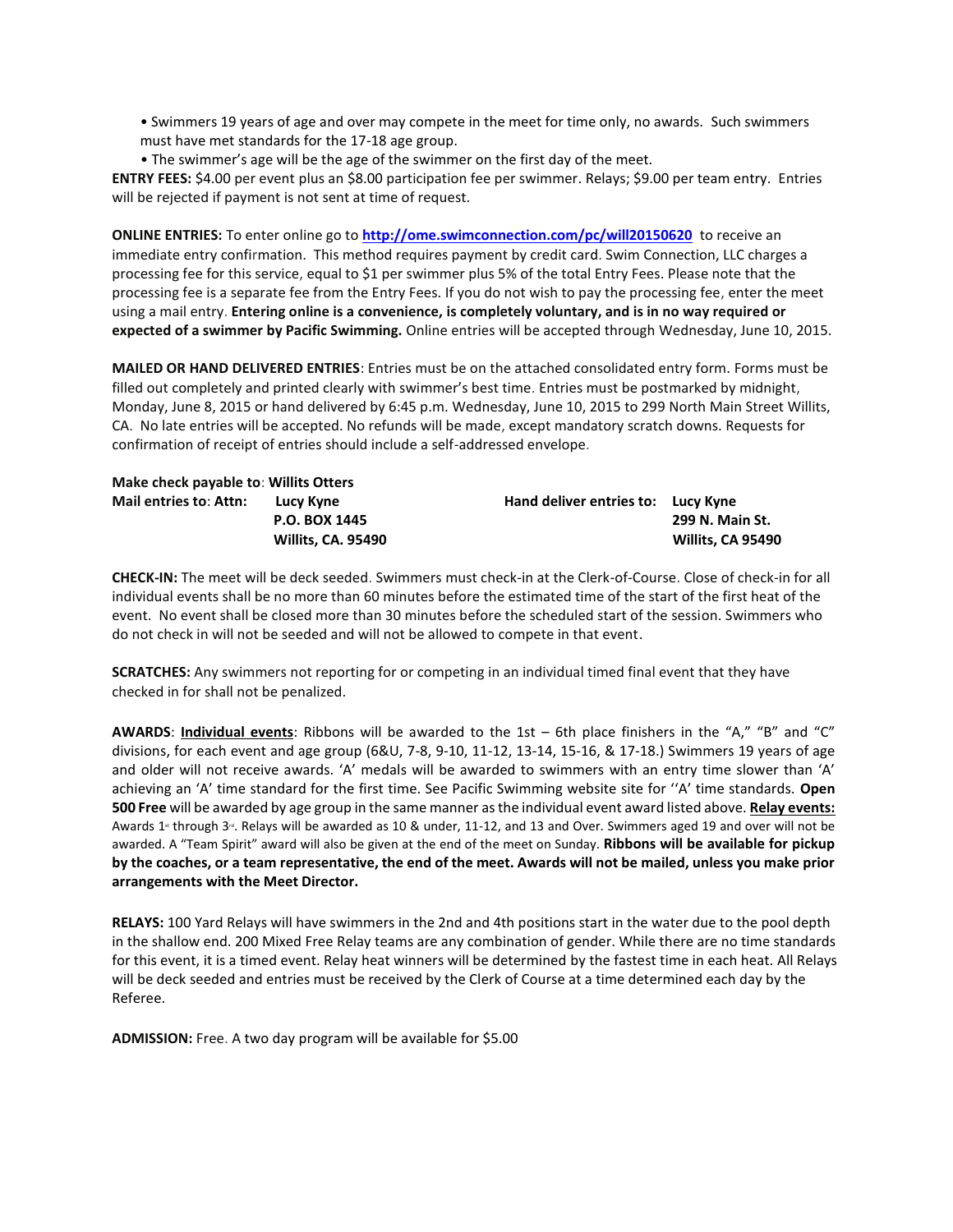• Swimmers 19 years of age and over may compete in the meet for time only, no awards. Such swimmers must have met standards for the 17-18 age group.

• The swimmer's age will be the age of the swimmer on the first day of the meet.

**ENTRY FEES:** \$4.00 per event plus an \$8.00 participation fee per swimmer. Relays; \$9.00 per team entry. Entries will be rejected if payment is not sent at time of request.

**ONLINE ENTRIES:** To enter online go to **<http://ome.swimconnection.com/pc/will20150620>** to receive an immediate entry confirmation. This method requires payment by credit card. Swim Connection, LLC charges a processing fee for this service, equal to \$1 per swimmer plus 5% of the total Entry Fees. Please note that the processing fee is a separate fee from the Entry Fees. If you do not wish to pay the processing fee, enter the meet using a mail entry. **Entering online is a convenience, is completely voluntary, and is in no way required or expected of a swimmer by Pacific Swimming.** Online entries will be accepted through Wednesday, June 10, 2015.

**MAILED OR HAND DELIVERED ENTRIES**: Entries must be on the attached consolidated entry form. Forms must be filled out completely and printed clearly with swimmer's best time. Entries must be postmarked by midnight, Monday, June 8, 2015 or hand delivered by 6:45 p.m. Wednesday, June 10, 2015 to 299 North Main Street Willits, CA. No late entries will be accepted. No refunds will be made, except mandatory scratch downs. Requests for confirmation of receipt of entries should include a self-addressed envelope.

| Make check payable to: Willits Otters |                           |                                    |                   |  |  |  |  |  |  |
|---------------------------------------|---------------------------|------------------------------------|-------------------|--|--|--|--|--|--|
| Mail entries to: Attn:                | Lucy Kyne                 | Hand deliver entries to: Lucy Kyne |                   |  |  |  |  |  |  |
|                                       | <b>P.O. BOX 1445</b>      |                                    | 299 N. Main St.   |  |  |  |  |  |  |
|                                       | <b>Willits, CA. 95490</b> |                                    | Willits, CA 95490 |  |  |  |  |  |  |

**CHECK-IN:** The meet will be deck seeded. Swimmers must check-in at the Clerk-of-Course. Close of check-in for all individual events shall be no more than 60 minutes before the estimated time of the start of the first heat of the event. No event shall be closed more than 30 minutes before the scheduled start of the session. Swimmers who do not check in will not be seeded and will not be allowed to compete in that event.

**SCRATCHES:** Any swimmers not reporting for or competing in an individual timed final event that they have checked in for shall not be penalized.

**AWARDS**: **Individual events**: Ribbons will be awarded to the 1st – 6th place finishers in the "A," "B" and "C" divisions, for each event and age group (6&U, 7-8, 9-10, 11-12, 13-14, 15-16, & 17-18.) Swimmers 19 years of age and older will not receive awards. 'A' medals will be awarded to swimmers with an entry time slower than 'A' achieving an 'A' time standard for the first time. See Pacific Swimming website site for ''A' time standards. **Open 500 Free** will be awarded by age group in the same manner as the individual event award listed above. **Relay events:** Awards 1<sup>\*</sup> through 3<sup>d</sup>. Relays will be awarded as 10 & under, 11-12, and 13 and Over. Swimmers aged 19 and over will not be awarded. A "Team Spirit" award will also be given at the end of the meet on Sunday. **Ribbons will be available for pickup by the coaches, or a team representative, the end of the meet. Awards will not be mailed, unless you make prior arrangements with the Meet Director.** 

**RELAYS:** 100 Yard Relays will have swimmers in the 2nd and 4th positions start in the water due to the pool depth in the shallow end. 200 Mixed Free Relay teams are any combination of gender. While there are no time standards for this event, it is a timed event. Relay heat winners will be determined by the fastest time in each heat. All Relays will be deck seeded and entries must be received by the Clerk of Course at a time determined each day by the Referee.

**ADMISSION:** Free. A two day program will be available for \$5.00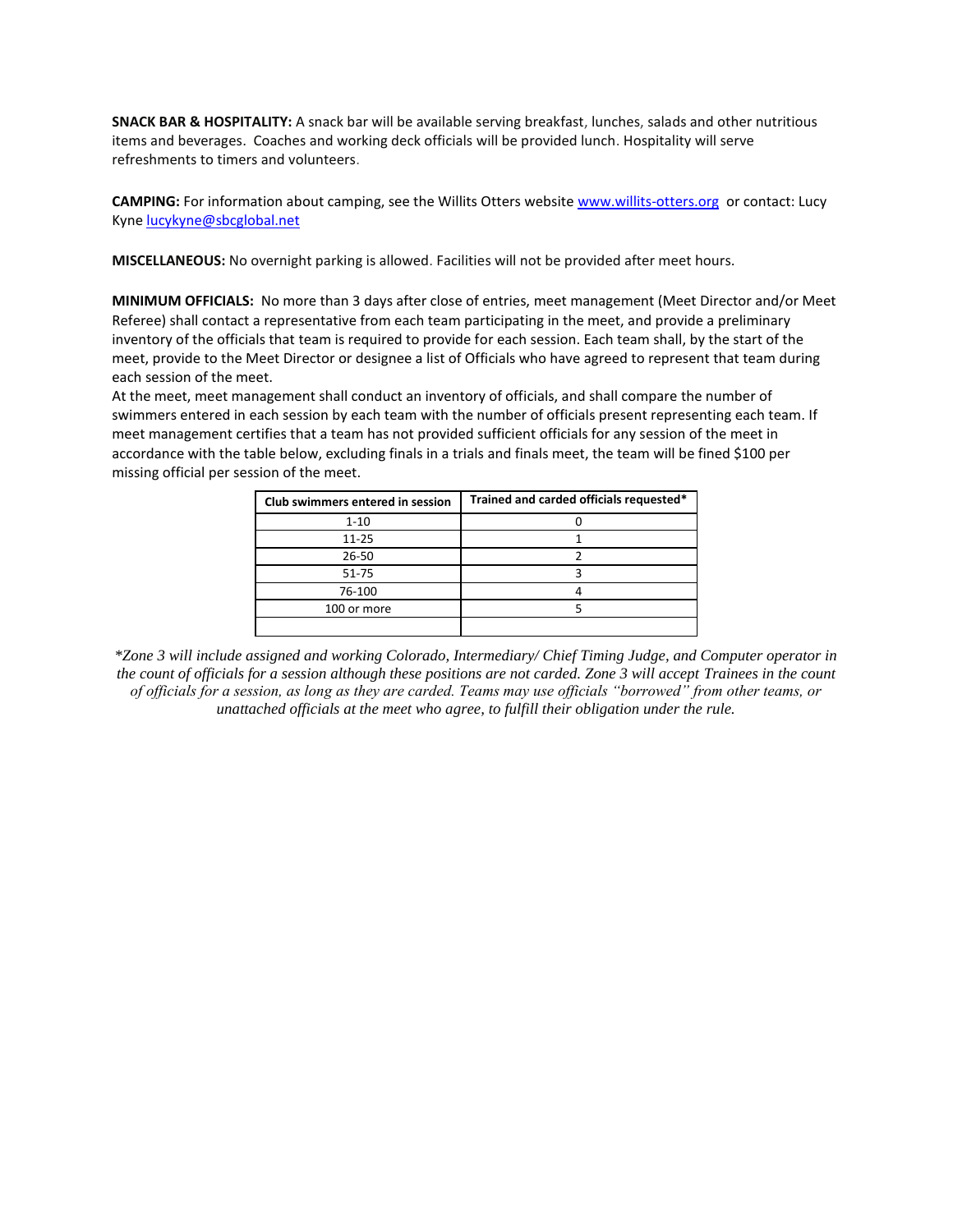**SNACK BAR & HOSPITALITY:** A snack bar will be available serving breakfast, lunches, salads and other nutritious items and beverages. Coaches and working deck officials will be provided lunch. Hospitality will serve refreshments to timers and volunteers.

**CAMPING:** For information about camping, see the Willits Otters website [www.willits-otters.org](http://www.willits-otters.org/) or contact: Lucy Kyne [lucykyne@sbcglobal.net](mailto:lucykyne@sbcglobal.net)

**MISCELLANEOUS:** No overnight parking is allowed. Facilities will not be provided after meet hours.

**MINIMUM OFFICIALS:** No more than 3 days after close of entries, meet management (Meet Director and/or Meet Referee) shall contact a representative from each team participating in the meet, and provide a preliminary inventory of the officials that team is required to provide for each session. Each team shall, by the start of the meet, provide to the Meet Director or designee a list of Officials who have agreed to represent that team during each session of the meet.

At the meet, meet management shall conduct an inventory of officials, and shall compare the number of swimmers entered in each session by each team with the number of officials present representing each team. If meet management certifies that a team has not provided sufficient officials for any session of the meet in accordance with the table below, excluding finals in a trials and finals meet, the team will be fined \$100 per missing official per session of the meet.

| Club swimmers entered in session | Trained and carded officials requested* |  |  |  |  |  |
|----------------------------------|-----------------------------------------|--|--|--|--|--|
| $1 - 10$                         |                                         |  |  |  |  |  |
| $11 - 25$                        |                                         |  |  |  |  |  |
| $26 - 50$                        |                                         |  |  |  |  |  |
| $51 - 75$                        |                                         |  |  |  |  |  |
| 76-100                           |                                         |  |  |  |  |  |
| 100 or more                      |                                         |  |  |  |  |  |
|                                  |                                         |  |  |  |  |  |

*\*Zone 3 will include assigned and working Colorado, Intermediary/ Chief Timing Judge, and Computer operator in the count of officials for a session although these positions are not carded. Zone 3 will accept Trainees in the count of officials for a session, as long as they are carded. Teams may use officials "borrowed" from other teams, or unattached officials at the meet who agree, to fulfill their obligation under the rule.*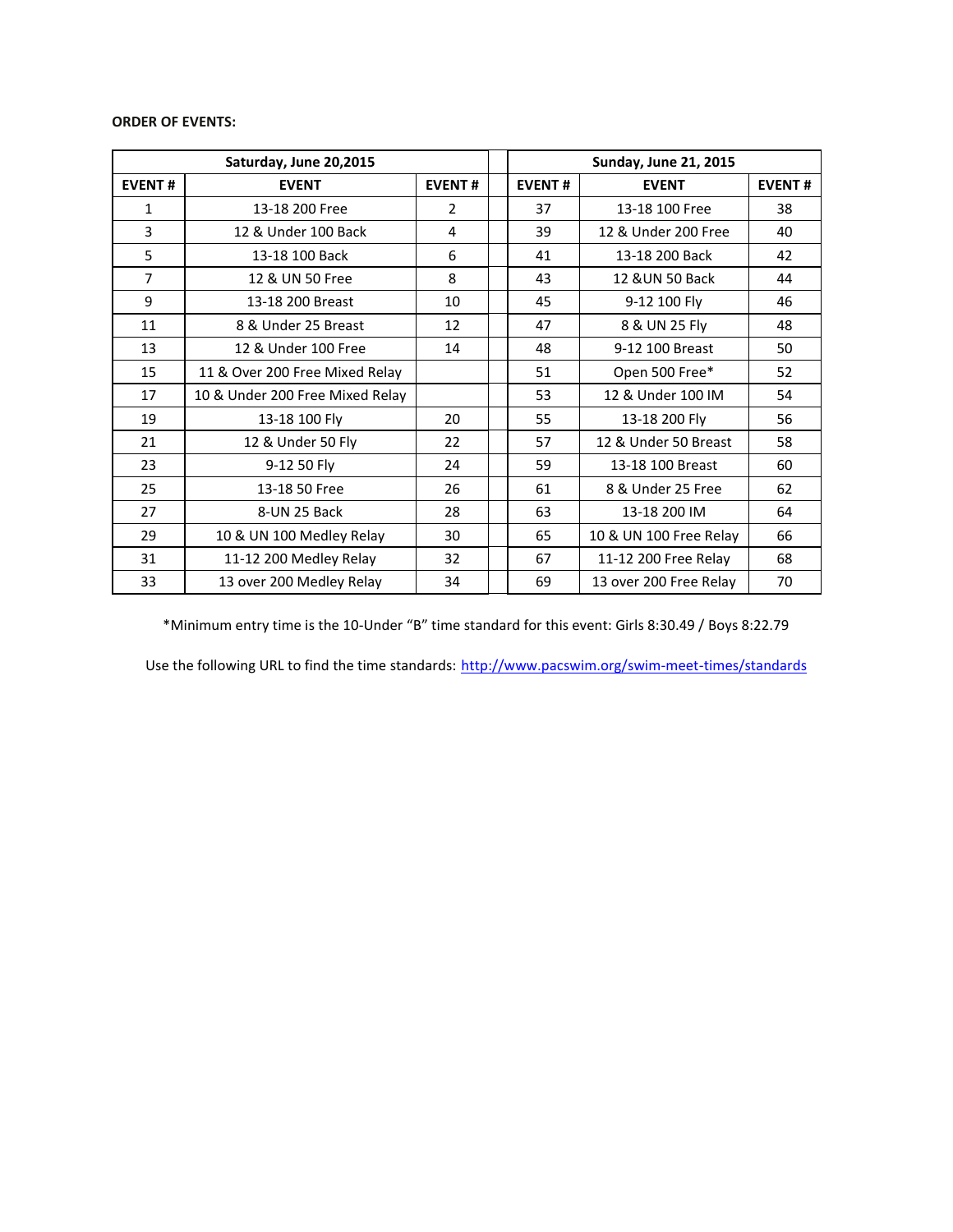## **ORDER OF EVENTS:**

|                | Saturday, June 20,2015          |               | <b>Sunday, June 21, 2015</b> |                      |                        |               |  |
|----------------|---------------------------------|---------------|------------------------------|----------------------|------------------------|---------------|--|
| <b>EVENT#</b>  | <b>EVENT</b>                    | <b>EVENT#</b> |                              | <b>EVENT#</b>        | <b>EVENT</b>           | <b>EVENT#</b> |  |
| $\mathbf 1$    | 13-18 200 Free                  | 2             |                              | 37                   | 13-18 100 Free         | 38            |  |
| 3              | 12 & Under 100 Back             | 4             |                              | 39                   | 12 & Under 200 Free    | 40            |  |
| 5              | 13-18 100 Back<br>6             |               |                              | 13-18 200 Back<br>41 |                        | 42            |  |
| $\overline{7}$ | 12 & UN 50 Free                 | 8             |                              | 43                   | 12 & UN 50 Back        | 44            |  |
| 9              | 13-18 200 Breast<br>10          |               |                              | 45                   | 9-12 100 Fly<br>46     |               |  |
| 11             | 8 & Under 25 Breast             | 12            |                              | 47                   | 8 & UN 25 Fly          | 48            |  |
| 13             | 12 & Under 100 Free             | 14            |                              | 48                   | 9-12 100 Breast        | 50            |  |
| 15             | 11 & Over 200 Free Mixed Relay  |               |                              | 51                   | Open 500 Free*         | 52            |  |
| 17             | 10 & Under 200 Free Mixed Relay |               |                              | 53                   | 12 & Under 100 IM      | 54            |  |
| 19             | 13-18 100 Fly                   | 20            |                              | 55                   | 13-18 200 Fly          | 56            |  |
| 21             | 12 & Under 50 Fly               | 22            |                              | 57                   | 12 & Under 50 Breast   | 58            |  |
| 23             | 9-12 50 Fly                     | 24            |                              | 59                   | 13-18 100 Breast       | 60            |  |
| 25             | 13-18 50 Free                   | 26            |                              | 61                   | 8 & Under 25 Free      | 62            |  |
| 27             | 8-UN 25 Back                    | 28            |                              | 63                   | 13-18 200 IM           | 64            |  |
| 29             | 10 & UN 100 Medley Relay        | 30            |                              | 65                   | 10 & UN 100 Free Relay | 66            |  |
| 31             | 11-12 200 Medley Relay          | 32            |                              | 67                   | 11-12 200 Free Relay   | 68            |  |
| 33             | 13 over 200 Medley Relay        | 34            |                              | 69                   | 13 over 200 Free Relay | 70            |  |

\*Minimum entry time is the 10-Under "B" time standard for this event: Girls 8:30.49 / Boys 8:22.79

Use the following URL to find the time standards: <http://www.pacswim.org/swim-meet-times/standards>